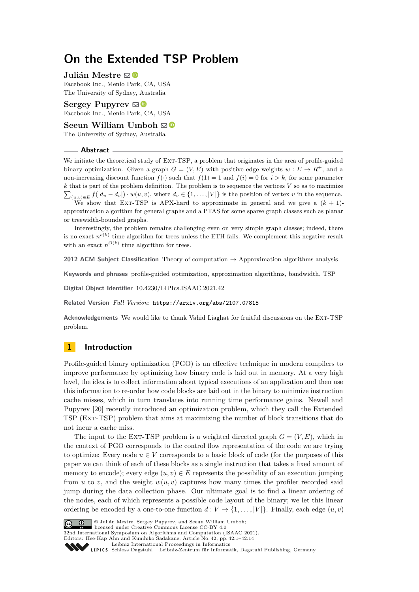# **On the Extended TSP Problem**

## **Julián Mestre** ⊠<sup>■</sup>

Facebook Inc., Menlo Park, CA, USA The University of Sydney, Australia

**Sergey Pupyrey**  $\boxtimes$ Facebook Inc., Menlo Park, CA, USA

**Seeun William Umboh**  $\mathbb{Z}^{\mathbb{C}}$ 

The University of Sydney, Australia

#### **Abstract**

We initiate the theoretical study of Ext-TSP, a problem that originates in the area of profile-guided binary optimization. Given a graph  $G = (V, E)$  with positive edge weights  $w : E \to R^+$ , and a non-increasing discount function  $f(\cdot)$  such that  $f(1) = 1$  and  $f(i) = 0$  for  $i > k$ , for some parameter *k* that is part of the problem definition. The problem is to sequence the vertices *V* so as to maximize  $\sum_{(u,v)\in E} f(|d_u - d_v|) \cdot w(u,v)$ , where  $d_v \in \{1, \ldots, |V|\}$  is the position of vertex *v* in the sequence.

We show that EXT-TSP is APX-hard to approximate in general and we give a  $(k + 1)$ approximation algorithm for general graphs and a PTAS for some sparse graph classes such as planar or treewidth-bounded graphs.

Interestingly, the problem remains challenging even on very simple graph classes; indeed, there is no exact  $n^{o(k)}$  time algorithm for trees unless the ETH fails. We complement this negative result with an exact  $n^{O(k)}$  time algorithm for trees.

**2012 ACM Subject Classification** Theory of computation → Approximation algorithms analysis

**Keywords and phrases** profile-guided optimization, approximation algorithms, bandwidth, TSP

**Digital Object Identifier** [10.4230/LIPIcs.ISAAC.2021.42](https://doi.org/10.4230/LIPIcs.ISAAC.2021.42)

**Related Version** *Full Version*: <https://arxiv.org/abs/2107.07815>

**Acknowledgements** We would like to thank Vahid Liaghat for fruitful discussions on the Ext-TSP problem.

## **1 Introduction**

Profile-guided binary optimization (PGO) is an effective technique in modern compilers to improve performance by optimizing how binary code is laid out in memory. At a very high level, the idea is to collect information about typical executions of an application and then use this information to re-order how code blocks are laid out in the binary to minimize instruction cache misses, which in turn translates into running time performance gains. Newell and Pupyrev [\[20\]](#page-13-0) recently introduced an optimization problem, which they call the Extended TSP (Ext-TSP) problem that aims at maximizing the number of block transitions that do not incur a cache miss.

The input to the EXT-TSP problem is a weighted directed graph  $G = (V, E)$ , which in the context of PGO corresponds to the control flow representation of the code we are trying to optimize: Every node  $u \in V$  corresponds to a basic block of code (for the purposes of this paper we can think of each of these blocks as a single instruction that takes a fixed amount of memory to encode); every edge  $(u, v) \in E$  represents the possibility of an execution jumping from *u* to *v*, and the weight  $w(u, v)$  captures how many times the profiler recorded said jump during the data collection phase. Our ultimate goal is to find a linear ordering of the nodes, each of which represents a possible code layout of the binary; we let this linear ordering be encoded by a one-to-one function  $d: V \to \{1, \ldots, |V|\}$ . Finally, each edge  $(u, v)$ 



© Julián Mestre, Sergey Pupyrev, and Seeun William Umboh; licensed under Creative Commons License CC-BY 4.0

32nd International Symposium on Algorithms and Computation (ISAAC 2021). Editors: Hee-Kap Ahn and Kunihiko Sadakane; Article No. 42; pp. 42:1–42:14

[Leibniz International Proceedings in Informatics](https://www.dagstuhl.de/lipics/)

SCHLOSS Dagstuhl – Leibniz-Zentrum für Informatik, Dagstuhl Publishing, Germany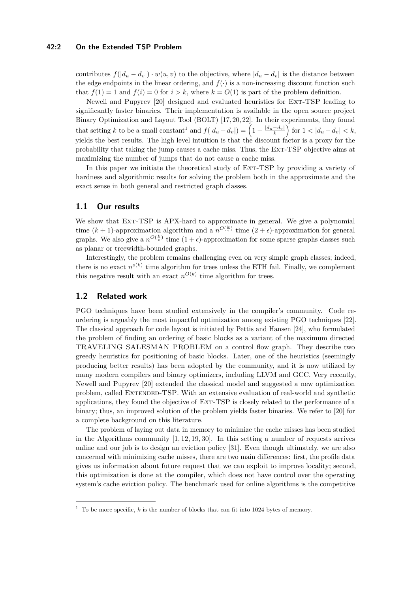#### **42:2 On the Extended TSP Problem**

contributes  $f(|d_u - d_v|) \cdot w(u, v)$  to the objective, where  $|d_u - d_v|$  is the distance between the edge endpoints in the linear ordering, and  $f(.)$  is a non-increasing discount function such that  $f(1) = 1$  and  $f(i) = 0$  for  $i > k$ , where  $k = O(1)$  is part of the problem definition.

Newell and Pupyrev [\[20\]](#page-13-0) designed and evaluated heuristics for Ext-TSP leading to significantly faster binaries. Their implementation is available in the open source project Binary Optimization and Layout Tool (BOLT) [\[17,](#page-13-1) [20,](#page-13-0) [22\]](#page-13-2). In their experiments, they found that setting *k* to be a small constant<sup>[1](#page-1-0)</sup> and  $f(|d_u - d_v|) = \left(1 - \frac{|d_u - d_v|}{k}\right)$  for  $1 < |d_u - d_v| < k$ , yields the best results. The high level intuition is that the discount factor is a proxy for the probability that taking the jump causes a cache miss. Thus, the Ext-TSP objective aims at maximizing the number of jumps that do not cause a cache miss.

In this paper we initiate the theoretical study of Ext-TSP by providing a variety of hardness and algorithmic results for solving the problem both in the approximate and the exact sense in both general and restricted graph classes.

## **1.1 Our results**

We show that EXT-TSP is APX-hard to approximate in general. We give a polynomial time  $(k+1)$ -approximation algorithm and a  $n^{O(\frac{k}{\epsilon})}$  time  $(2+\epsilon)$ -approximation for general graphs. We also give a  $n^{O(\frac{k}{\epsilon})}$  time  $(1+\epsilon)$ -approximation for some sparse graphs classes such as planar or treewidth-bounded graphs.

Interestingly, the problem remains challenging even on very simple graph classes; indeed, there is no exact  $n^{o(k)}$  time algorithm for trees unless the ETH fail. Finally, we complement this negative result with an exact  $n^{O(k)}$  time algorithm for trees.

## **1.2 Related work**

PGO techniques have been studied extensively in the compiler's community. Code reordering is arguably the most impactful optimization among existing PGO techniques [\[22\]](#page-13-2). The classical approach for code layout is initiated by Pettis and Hansen [\[24\]](#page-13-3), who formulated the problem of finding an ordering of basic blocks as a variant of the maximum directed TRAVELING SALESMAN PROBLEM on a control flow graph. They describe two greedy heuristics for positioning of basic blocks. Later, one of the heuristics (seemingly producing better results) has been adopted by the community, and it is now utilized by many modern compilers and binary optimizers, including LLVM and GCC. Very recently, Newell and Pupyrev [\[20\]](#page-13-0) extended the classical model and suggested a new optimization problem, called Extended-TSP. With an extensive evaluation of real-world and synthetic applications, they found the objective of Ext-TSP is closely related to the performance of a binary; thus, an improved solution of the problem yields faster binaries. We refer to [\[20\]](#page-13-0) for a complete background on this literature.

The problem of laying out data in memory to minimize the cache misses has been studied in the Algorithms community  $[1, 12, 19, 30]$  $[1, 12, 19, 30]$  $[1, 12, 19, 30]$  $[1, 12, 19, 30]$ . In this setting a number of requests arrives online and our job is to design an eviction policy [\[31\]](#page-13-6). Even though ultimately, we are also concerned with minimizing cache misses, there are two main differences: first, the profile data gives us information about future request that we can exploit to improve locality; second, this optimization is done at the compiler, which does not have control over the operating system's cache eviction policy. The benchmark used for online algorithms is the competitive

<span id="page-1-0"></span><sup>1</sup> To be more specific, *k* is the number of blocks that can fit into 1024 bytes of memory.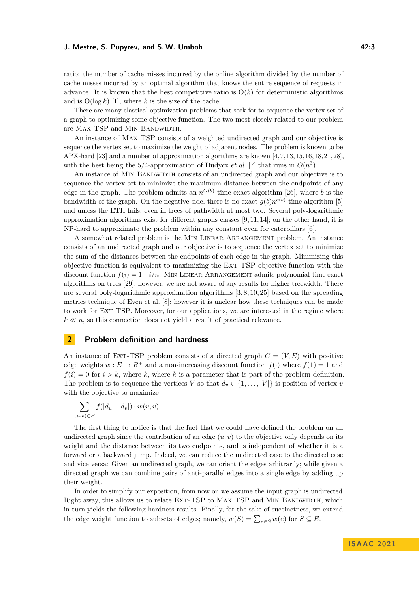ratio: the number of cache misses incurred by the online algorithm divided by the number of cache misses incurred by an optimal algorithm that knows the entire sequence of requests in advance. It is known that the best competitive ratio is  $\Theta(k)$  for deterministic algorithms and is  $\Theta(\log k)$  [\[1\]](#page-12-0), where *k* is the size of the cache.

There are many classical optimization problems that seek for to sequence the vertex set of a graph to optimizing some objective function. The two most closely related to our problem are MAX TSP and MIN BANDWIDTH.

An instance of Max TSP consists of a weighted undirected graph and our objective is sequence the vertex set to maximize the weight of adjacent nodes. The problem is known to be APX-hard [\[23\]](#page-13-7) and a number of approximation algorithms are known [\[4,](#page-12-2)[7,](#page-12-3)[13,](#page-12-4)[15,](#page-12-5)[16,](#page-13-8)[18,](#page-13-9)[21,](#page-13-10)[28\]](#page-13-11), with the best being the  $5/4$ -approximation of Dudycz *et al.* [\[7\]](#page-12-3) that runs in  $O(n^3)$ .

An instance of MIN BANDWIDTH consists of an undirected graph and our objective is to sequence the vertex set to minimize the maximum distance between the endpoints of any edge in the graph. The problem admits an  $n^{O(b)}$  time exact algorithm [\[26\]](#page-13-12), where *b* is the bandwidth of the graph. On the negative side, there is no exact  $g(b)n^{o(b)}$  time algorithm [\[5\]](#page-12-6) and unless the ETH fails, even in trees of pathwidth at most two. Several poly-logarithmic approximation algorithms exist for different graphs classes  $[9, 11, 14]$  $[9, 11, 14]$  $[9, 11, 14]$ ; on the other hand, it is NP-hard to approximate the problem within any constant even for caterpillars [\[6\]](#page-12-10).

A somewhat related problem is the Min Linear Arrangement problem. An instance consists of an undirected graph and our objective is to sequence the vertex set to minimize the sum of the distances between the endpoints of each edge in the graph. Minimizing this objective function is equivalent to maximizing the Ext TSP objective function with the discount function  $f(i) = 1 - i/n$ . MIN LINEAR ARRANGEMENT admits polynomial-time exact algorithms on trees [\[29\]](#page-13-13); however, we are not aware of any results for higher treewidth. There are several poly-logarithmic approximation algorithms [\[3,](#page-12-11) [8,](#page-12-12) [10,](#page-12-13) [25\]](#page-13-14) based on the spreading metrics technique of Even et al. [\[8\]](#page-12-12); however it is unclear how these techniques can be made to work for Ext TSP. Moreover, for our applications, we are interested in the regime where  $k \ll n$ , so this connection does not yield a result of practical relevance.

## **2 Problem definition and hardness**

An instance of EXT-TSP problem consists of a directed graph  $G = (V, E)$  with positive edge weights  $w : E \to R^+$  and a non-increasing discount function  $f(\cdot)$  where  $f(1) = 1$  and  $f(i) = 0$  for  $i > k$ , where k, where k is a parameter that is part of the problem definition. The problem is to sequence the vertices *V* so that  $d_v \in \{1, \ldots, |V|\}$  is position of vertex *v* with the objective to maximize

$$
\sum_{(u,v)\in E} f(|d_u - d_v|) \cdot w(u,v)
$$

The first thing to notice is that the fact that we could have defined the problem on an undirected graph since the contribution of an edge  $(u, v)$  to the objective only depends on its weight and the distance between its two endpoints, and is independent of whether it is a forward or a backward jump. Indeed, we can reduce the undirected case to the directed case and vice versa: Given an undirected graph, we can orient the edges arbitrarily; while given a directed graph we can combine pairs of anti-parallel edges into a single edge by adding up their weight.

In order to simplify our exposition, from now on we assume the input graph is undirected. Right away, this allows us to relate EXT-TSP to MAX TSP and MIN BANDWIDTH, which in turn yields the following hardness results. Finally, for the sake of succinctness, we extend the edge weight function to subsets of edges; namely,  $w(S) = \sum_{e \in S} w(e)$  for  $S \subseteq E$ .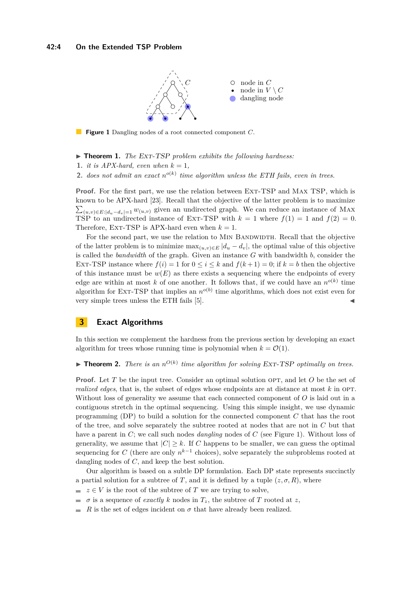<span id="page-3-0"></span>

**Figure 1** Dangling nodes of a root connected component *C*.

▶ **Theorem 1.** *The* Ext-TSP *problem exhibits the following hardness:*

**1.** *it is APX-hard, even when*  $k = 1$ *,* 

**2.** *does not admit an exact*  $n^{o(k)}$  *time algorithm unless the ETH fails, even in trees.* 

**Proof.** For the first part, we use the relation between EXT-TSP and MAX TSP, which is known to be APX-hard [\[23\]](#page-13-7). Recall that the objective of the latter problem is to maximize  $\sum_{(u,v)\in E:|d_u-d_v|=1} w_{(u,v)}$  given an undirected graph. We can reduce an instance of MAX TSP to an undirected instance of EXT-TSP with  $k = 1$  where  $f(1) = 1$  and  $f(2) = 0$ . Therefore, EXT-TSP is APX-hard even when  $k = 1$ .

For the second part, we use the relation to MIN BANDWIDTH. Recall that the objective of the latter problem is to minimize  $\max_{(u,v)\in E} |d_u - d_v|$ , the optimal value of this objective is called the *bandwidth* of the graph. Given an instance *G* with bandwidth *b*, consider the EXT-TSP instance where  $f(i) = 1$  for  $0 \le i \le k$  and  $f(k+1) = 0$ ; if  $k = b$  then the objective of this instance must be  $w(E)$  as there exists a sequencing where the endpoints of every edge are within at most k of one another. It follows that, if we could have an  $n^{o(k)}$  time algorithm for EXT-TSP that implies an  $n^{o(b)}$  time algorithms, which does not exist even for very simple trees unless the ETH fails [\[5\]](#page-12-6).

## **3 Exact Algorithms**

In this section we complement the hardness from the previous section by developing an exact algorithm for trees whose running time is polynomial when  $k = \mathcal{O}(1)$ .

## $\blacktriangleright$  **Theorem 2.** *There is an*  $n^{O(k)}$  *time algorithm for solving* Ext-TSP *optimally on trees.*

**Proof.** Let *T* be the input tree. Consider an optimal solution OPT, and let *O* be the set of *realized edges*, that is, the subset of edges whose endpoints are at distance at most  $k$  in OPT. Without loss of generality we assume that each connected component of *O* is laid out in a contiguous stretch in the optimal sequencing. Using this simple insight, we use dynamic programming (DP) to build a solution for the connected component *C* that has the root of the tree, and solve separately the subtree rooted at nodes that are not in *C* but that have a parent in *C*; we call such nodes *dangling* nodes of *C* (see Figure [1\)](#page-3-0). Without loss of generality, we assume that  $|C| > k$ . If *C* happens to be smaller, we can guess the optimal sequencing for *C* (there are only  $n^{k-1}$  choices), solve separately the subproblems rooted at dangling nodes of *C*, and keep the best solution.

Our algorithm is based on a subtle DP formulation. Each DP state represents succinctly a partial solution for a subtree of *T*, and it is defined by a tuple  $(z, \sigma, R)$ , where

- $\bullet z \in V$  is the root of the subtree of *T* we are trying to solve,
- $\sigma$  is a sequence of *exactly k* nodes in  $T_z$ , the subtree of *T* rooted at *z*,
- $\equiv$ *R* is the set of edges incident on  $\sigma$  that have already been realized.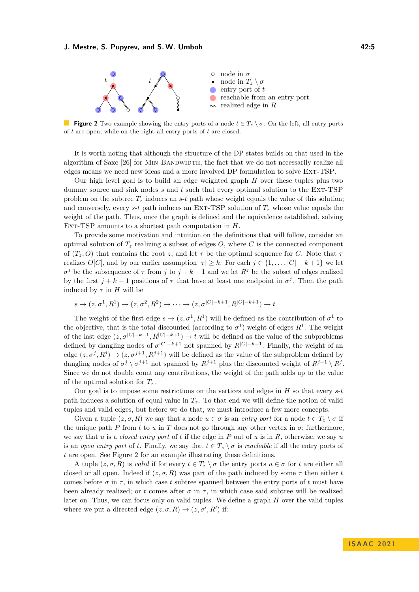<span id="page-4-0"></span>

**Figure 2** Two example showing the entry ports of a node  $t \in T_z \setminus \sigma$ . On the left, all entry ports of *t* are open, while on the right all entry ports of *t* are closed.

It is worth noting that although the structure of the DP states builds on that used in the algorithm of Saxe [\[26\]](#page-13-12) for MIN BANDWIDTH, the fact that we do not necessarily realize all edges means we need new ideas and a more involved DP formulation to solve Ext-TSP.

Our high level goal is to build an edge weighted graph *H* over these tuples plus two dummy source and sink nodes *s* and *t* such that every optimal solution to the Ext-TSP problem on the subtree  $T_z$  induces an *s*-*t* path whose weight equals the value of this solution; and conversely, every  $s$ - $t$  path induces an EXT-TSP solution of  $T_z$  whose value equals the weight of the path. Thus, once the graph is defined and the equivalence established, solving Ext-TSP amounts to a shortest path computation in *H*.

To provide some motivation and intuition on the definitions that will follow, consider an optimal solution of  $T_z$  realizing a subset of edges  $O$ , where  $C$  is the connected component of  $(T_z, O)$  that contains the root *z*, and let  $\tau$  be the optimal sequence for *C*. Note that  $\tau$ realizes  $O[C]$ , and by our earlier assumption  $|\tau| \geq k$ . For each  $j \in \{1, \ldots, |C| - k + 1\}$  we let  $\sigma^j$  be the subsequence of *τ* from *j* to  $j + k - 1$  and we let  $R^j$  be the subset of edges realized by the first  $j + k - 1$  positions of  $\tau$  that have at least one endpoint in  $\sigma^j$ . Then the path induced by  $\tau$  in  $H$  will be

$$
s \to (z, \sigma^1, R^1) \to (z, \sigma^2, R^2) \to \cdots \to (z, \sigma^{|C|-k+1}, R^{|C|-k+1}) \to t
$$

The weight of the first edge  $s \to (z, \sigma^1, R^1)$  will be defined as the contribution of  $\sigma^1$  to the objective, that is the total discounted (according to  $\sigma^1$ ) weight of edges  $R^1$ . The weight of the last edge  $(z, \sigma^{|C|-k+1}, R^{|C|-k+1}) \to t$  will be defined as the value of the subproblems defined by dangling nodes of  $\sigma^{|C|-k+1}$  not spanned by  $R^{|C|-k+1}$ . Finally, the weight of an edge  $(z, \sigma^j, R^j) \to (z, \sigma^{j+1}, R^{j+1})$  will be defined as the value of the subproblem defined by dangling nodes of  $\sigma^j \setminus \sigma^{j+1}$  not spanned by  $R^{j+1}$  plus the discounted weight of  $R^{j+1} \setminus R^j$ . Since we do not double count any contributions, the weight of the path adds up to the value of the optimal solution for  $T_z$ .

Our goal is to impose some restrictions on the vertices and edges in *H* so that every *s*-*t* path induces a solution of equal value in *Tz*. To that end we will define the notion of valid tuples and valid edges, but before we do that, we must introduce a few more concepts.

Given a tuple  $(z, \sigma, R)$  we say that a node  $u \in \sigma$  is an *entry port* for a node  $t \in T_z \setminus \sigma$  if the unique path *P* from *t* to *u* in *T* does not go through any other vertex in  $\sigma$ ; furthermore, we say that *u* is a *closed entry port* of *t* if the edge in *P* out of *u* is in *R*, otherwise, we say *u* is an *open entry port* of *t*. Finally, we say that  $t \in T_z \setminus \sigma$  is *reachable* if all the entry ports of *t* are open. See Figure [2](#page-4-0) for an example illustrating these definitions.

A tuple  $(z, \sigma, R)$  is *valid* if for every  $t \in T_z \setminus \sigma$  the entry ports  $u \in \sigma$  for *t* are either all closed or all open. Indeed if  $(z, \sigma, R)$  was part of the path induced by some  $\tau$  then either *t* comes before  $\sigma$  in  $\tau$ , in which case t subtree spanned between the entry ports of t must have been already realized; or *t* comes after  $\sigma$  in  $\tau$ , in which case said subtree will be realized later on. Thus, we can focus only on valid tuples. We define a graph *H* over the valid tuples where we put a directed edge  $(z, \sigma, R) \rightarrow (z, \sigma', R')$  if: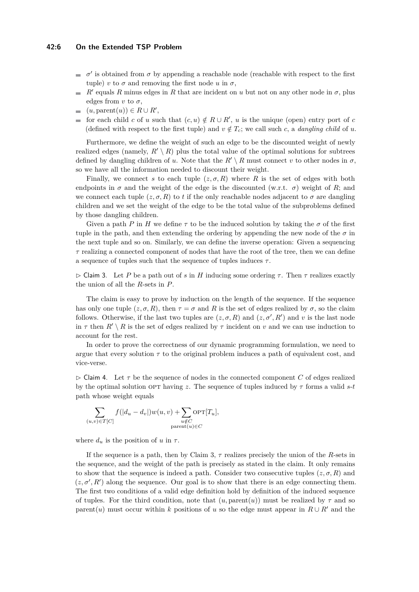#### **42:6 On the Extended TSP Problem**

- $σ'$  is obtained from  $σ$  by appending a reachable node (reachable with respect to the first  $\blacksquare$ tuple) *v* to  $\sigma$  and removing the first node *u* in  $\sigma$ ,
- $R'$  equals  $R$  minus edges in  $R$  that are incident on  $u$  but not on any other node in  $\sigma$ , plus m. edges from  $v$  to  $\sigma$ ,
- $(u, \text{parent}(u)) \in R \cup R'$  $\sim$
- for each child *c* of *u* such that  $(c, u) \notin R \cup R'$ , *u* is the unique (open) entry port of *c*  $\blacksquare$ (defined with respect to the first tuple) and  $v \notin T_c$ ; we call such c, a *dangling child* of u.

Furthermore, we define the weight of such an edge to be the discounted weight of newly realized edges (namely,  $R' \setminus R$ ) plus the total value of the optimal solutions for subtrees defined by dangling children of *u*. Note that the  $R' \setminus R$  must connect *v* to other nodes in  $\sigma$ , so we have all the information needed to discount their weight.

Finally, we connect *s* to each tuple  $(z, \sigma, R)$  where *R* is the set of edges with both endpoints in  $\sigma$  and the weight of the edge is the discounted (w.r.t.  $\sigma$ ) weight of *R*; and we connect each tuple  $(z, \sigma, R)$  to *t* if the only reachable nodes adjacent to  $\sigma$  are dangling children and we set the weight of the edge to be the total value of the subproblems defined by those dangling children.

Given a path *P* in *H* we define  $\tau$  to be the induced solution by taking the  $\sigma$  of the first tuple in the path, and then extending the ordering by appending the new node of the  $\sigma$  in the next tuple and so on. Similarly, we can define the inverse operation: Given a sequencing *τ* realizing a connected component of nodes that have the root of the tree, then we can define a sequence of tuples such that the sequence of tuples induces *τ* .

<span id="page-5-0"></span>▷ Claim 3. Let *P* be a path out of *s* in *H* inducing some ordering *τ* . Then *τ* realizes exactly the union of all the *R*-sets in *P*.

The claim is easy to prove by induction on the length of the sequence. If the sequence has only one tuple  $(z, \sigma, R)$ , then  $\tau = \sigma$  and R is the set of edges realized by  $\sigma$ , so the claim follows. Otherwise, if the last two tuples are  $(z, \sigma, R)$  and  $(z, \sigma', R')$  and *v* is the last node in  $\tau$  then  $R' \setminus R$  is the set of edges realized by  $\tau$  incident on *v* and we can use induction to account for the rest.

In order to prove the correctness of our dynamic programming formulation, we need to argue that every solution  $\tau$  to the original problem induces a path of equivalent cost, and vice-verse.

 $\triangleright$  Claim 4. Let  $\tau$  be the sequence of nodes in the connected component *C* of edges realized by the optimal solution OPT having *z*. The sequence of tuples induced by  $\tau$  forms a valid *s*-*t* path whose weight equals

$$
\sum_{(u,v)\in T[C]} f(|d_u - d_v|) w(u,v) + \sum_{\substack{u \notin C \\ \text{parent}(u) \in C}} \text{OPT}[T_u],
$$

where  $d_u$  is the position of  $u$  in  $\tau$ .

If the sequence is a path, then by Claim [3,](#page-5-0) *τ* realizes precisely the union of the *R*-sets in the sequence, and the weight of the path is precisely as stated in the claim. It only remains to show that the sequence is indeed a path. Consider two consecutive tuples  $(z, \sigma, R)$  and  $(z, \sigma', R')$  along the sequence. Our goal is to show that there is an edge connecting them. The first two conditions of a valid edge definition hold by definition of the induced sequence of tuples. For the third condition, note that  $(u, \text{parent}(u))$  must be realized by  $\tau$  and so parent(*u*) must occur within *k* positions of *u* so the edge must appear in  $R \cup R'$  and the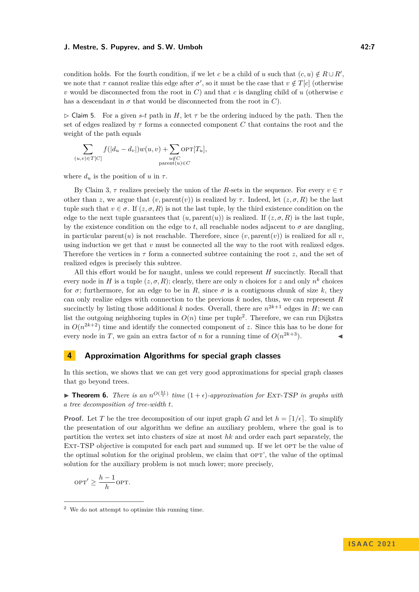condition holds. For the fourth condition, if we let *c* be a child of *u* such that  $(c, u) \notin R \cup R'$ , we note that  $\tau$  cannot realize this edge after  $\sigma'$ , so it must be the case that  $v \notin T[c]$  (otherwise *v* would be disconnected from the root in  $C$ ) and that  $c$  is dangling child of  $u$  (otherwise  $c$ has a descendant in  $\sigma$  that would be disconnected from the root in *C*).

 $\triangleright$  Claim 5. For a given *s*-*t* path in *H*, let  $\tau$  be the ordering induced by the path. Then the set of edges realized by *τ* forms a connected component *C* that contains the root and the weight of the path equals

$$
\sum_{(u,v)\in T[C]} f(|d_u-d_v|) w(u,v) + \sum_{\substack{u\notin C \\ \text{parent}(u)\in C}} \text{OPT}[T_u],
$$

where  $d_u$  is the position of  $u$  in  $\tau$ .

By Claim [3,](#page-5-0)  $\tau$  realizes precisely the union of the *R*-sets in the sequence. For every  $v \in \tau$ other than *z*, we argue that  $(v, \text{parent}(v))$  is realized by  $\tau$ . Indeed, let  $(z, \sigma, R)$  be the last tuple such that  $v \in \sigma$ . If  $(z, \sigma, R)$  is not the last tuple, by the third existence condition on the edge to the next tuple guarantees that  $(u, parent(u))$  is realized. If  $(z, \sigma, R)$  is the last tuple, by the existence condition on the edge to  $t$ , all reachable nodes adjacent to  $\sigma$  are dangling, in particular parent(*u*) is not reachable. Therefore, since  $(v, \text{parent}(v))$  is realized for all *v*, using induction we get that *v* must be connected all the way to the root with realized edges. Therefore the vertices in *τ* form a connected subtree containing the root *z*, and the set of realized edges is precisely this subtree.

All this effort would be for naught, unless we could represent *H* succinctly. Recall that every node in *H* is a tuple  $(z, \sigma, R)$ ; clearly, there are only *n* choices for *z* and only  $n^k$  choices for  $\sigma$ ; furthermore, for an edge to be in *R*, since  $\sigma$  is a contiguous chunk of size *k*, they can only realize edges with connection to the previous *k* nodes, thus, we can represent *R* succinctly by listing those additional *k* nodes. Overall, there are  $n^{2k+1}$  edges in *H*; we can list the outgoing neighboring tuples in  $O(n)$  time per tuple<sup>[2](#page-6-0)</sup>. Therefore, we can run Dijkstra in  $O(n^{2k+2})$  time and identify the connected component of *z*. Since this has to be done for every node in *T*, we gain an extra factor of *n* for a running time of  $O(n^{2k+3})$ .

## **4 Approximation Algorithms for special graph classes**

In this section, we shows that we can get very good approximations for special graph classes that go beyond trees.

<span id="page-6-1"></span>**Findment 6.** There is an  $n^{O(\frac{kt}{\epsilon})}$  time  $(1+\epsilon)$ -approximation for Ext-TSP in graphs with *a tree decomposition of tree-width t.*

**Proof.** Let *T* be the tree decomposition of our input graph *G* and let  $h = \lfloor 1/\epsilon \rfloor$ . To simplify the presentation of our algorithm we define an auxiliary problem, where the goal is to partition the vertex set into clusters of size at most *hk* and order each part separately, the EXT-TSP objective is computed for each part and summed up. If we let OPT be the value of the optimal solution for the original problem, we claim that  $OPT'$ , the value of the optimal solution for the auxiliary problem is not much lower; more precisely,

$$
OPT' \ge \frac{h-1}{h} OPT.
$$

<span id="page-6-0"></span><sup>2</sup> We do not attempt to optimize this running time.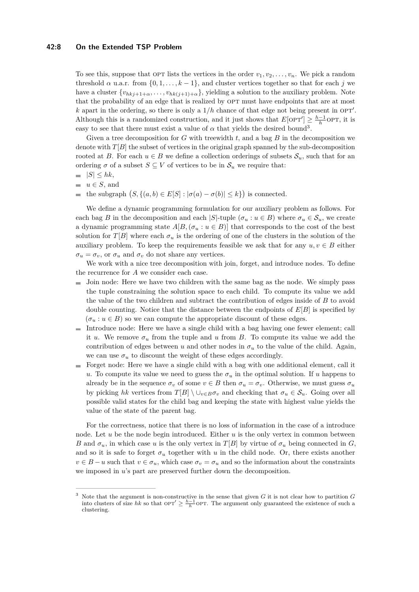#### **42:8 On the Extended TSP Problem**

To see this, suppose that OPT lists the vertices in the order  $v_1, v_2, \ldots, v_n$ . We pick a random threshold  $\alpha$  u.a.r. from  $\{0, 1, \ldots, k-1\}$ , and cluster vertices together so that for each *j* we have a cluster  $\{v_{hkj+1+\alpha}, \ldots, v_{hk(j+1)+\alpha}\}$ , yielding a solution to the auxiliary problem. Note that the probability of an edge that is realized by OPT must have endpoints that are at most *k* apart in the ordering, so there is only a  $1/h$  chance of that edge not being present in  $OPT'$ . Although this is a randomized construction, and it just shows that  $E[OPT'] \geq \frac{h-1}{h}$ OPT, it is easy to see that there must exist a value of  $\alpha$  that yields the desired bound<sup>[3](#page-7-0)</sup>.

Given a tree decomposition for *G* with treewidth *t*, and a bag *B* in the decomposition we denote with  $T[B]$  the subset of vertices in the original graph spanned by the sub-decomposition rooted at *B*. For each  $u \in B$  we define a collection orderings of subsets  $S_u$ , such that for an ordering  $\sigma$  of a subset  $S \subseteq V$  of vertices to be in  $\mathcal{S}_u$  we require that:

- $|S| \leq hk$ ,
- $u \in S$ , and

the subgraph  $(S, \{(a, b) \in E[S] : |\sigma(a) - \sigma(b)| \leq k\})$  is connected.

We define a dynamic programming formulation for our auxiliary problem as follows. For each bag *B* in the decomposition and each |*S*|-tuple ( $\sigma_u : u \in B$ ) where  $\sigma_u \in \mathcal{S}_u$ , we create a dynamic programming state  $A[B, (\sigma_u : u \in B)]$  that corresponds to the cost of the best solution for *T*[*B*] where each  $\sigma_u$  is the ordering of one of the clusters in the solution of the auxiliary problem. To keep the requirements feasible we ask that for any  $u, v \in B$  either  $\sigma_u = \sigma_v$ , or  $\sigma_u$  and  $\sigma_v$  do not share any vertices.

We work with a nice tree decomposition with join, forget, and introduce nodes. To define the recurrence for *A* we consider each case.

- Join node: Here we have two children with the same bag as the node. We simply pass  $\blacksquare$ the tuple constraining the solution space to each child. To compute its value we add the value of the two children and subtract the contribution of edges inside of *B* to avoid double counting. Notice that the distance between the endpoints of *E*[*B*] is specified by  $(\sigma_u : u \in B)$  so we can compute the appropriate discount of these edges.
- $\blacksquare$  Introduce node: Here we have a single child with a bag having one fewer element; call it *u*. We remove  $\sigma_u$  from the tuple and *u* from *B*. To compute its value we add the contribution of edges between *u* and other nodes in  $\sigma_u$  to the value of the child. Again, we can use  $\sigma_u$  to discount the weight of these edges accordingly.
- Forget node: Here we have a single child with a bag with one additional element, call it *u*. To compute its value we need to guess the  $\sigma_u$  in the optimal solution. If *u* happens to already be in the sequence  $\sigma_v$  of some  $v \in B$  then  $\sigma_u = \sigma_v$ . Otherwise, we must guess  $\sigma_u$ by picking *hk* vertices from  $T[B] \setminus \cup_{v \in B} \sigma_v$  and checking that  $\sigma_u \in \mathcal{S}_u$ . Going over all possible valid states for the child bag and keeping the state with highest value yields the value of the state of the parent bag.

For the correctness, notice that there is no loss of information in the case of a introduce node. Let *u* be the node begin introduced. Either *u* is the only vertex in common between *B* and  $\sigma_u$ , in which case *u* is the only vertex in *T*[*B*] by virtue of  $\sigma_u$  being connected in *G*, and so it is safe to forget  $\sigma_u$  together with *u* in the child node. Or, there exists another  $v \in B - u$  such that  $v \in \sigma_u$ , which case  $\sigma_v = \sigma_u$  and so the information about the constraints we imposed in *u*'s part are preserved further down the decomposition.

<span id="page-7-0"></span><sup>3</sup> Note that the argument is non-constructive in the sense that given *G* it is not clear how to partition *G* into clusters of size hk so that  $\text{OPT}' \geq \frac{h-1}{h} \text{OPT}$ . The argument only guaranteed the existence of such a clustering.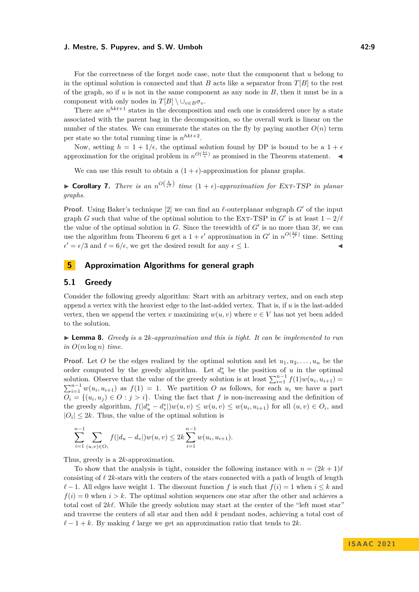For the correctness of the forget node case, note that the component that *u* belong to in the optimal solution is connected and that *B* acts like a separator from  $T[B]$  to the rest of the graph, so if *u* is not in the same component as any node in *B*, then it must be in a component with only nodes in  $T[B] \setminus \cup_{v \in B} \sigma_v$ .

There are  $n^{hkt+1}$  states in the decomposition and each one is considered once by a state associated with the parent bag in the decomposition, so the overall work is linear on the number of the states. We can enumerate the states on the fly by paying another  $O(n)$  term per state so the total running time is  $n^{hkt+2}$ .

Now, setting  $h = 1 + 1/\epsilon$ , the optimal solution found by DP is bound to be a  $1 + \epsilon$ approximation for the original problem in  $n^{O(\frac{k t}{\epsilon})}$  as promised in the Theorem statement.

We can use this result to obtain a  $(1 + \epsilon)$ -approximation for planar graphs.

▶ **Corollary 7.** *There is an*  $n^{O(\frac{k}{\epsilon^2})}$  *time*  $(1 + \epsilon)$ *-approximation for* Ext-TSP *in planar graphs.*

**Proof.** Using Baker's technique [\[2\]](#page-12-14) we can find an *ℓ*-outerplanar subgraph *G*′ of the input graph *G* such that value of the optimal solution to the EXT-TSP in  $G'$  is at least  $1 - 2/\ell$ the value of the optimal solution in *G*. Since the treewidth of *G*′ is no more than 3*ℓ*, we can use the algorithm from Theorem [6](#page-6-1) get a  $1 + \epsilon'$  approximation in  $G'$  in  $n^{O(\frac{k\ell}{\epsilon'})}$  time. Setting  $\epsilon' = \epsilon/3$  and  $\ell = 6/\epsilon$ , we get the desired result for any  $\epsilon \leq 1$ .

## **5 Approximation Algorithms for general graph**

#### **5.1 Greedy**

Consider the following greedy algorithm: Start with an arbitrary vertex, and on each step append a vertex with the heaviest edge to the last-added vertex. That is, if *u* is the last-added vertex, then we append the vertex *v* maximizing  $w(u, v)$  where  $v \in V$  has not yet been added to the solution.

▶ **Lemma 8.** *Greedy is a* 2*k-approximation and this is tight. It can be implemented to run*  $in$   $O(m \log n)$  *time.* 

**Proof.** Let *O* be the edges realized by the optimal solution and let  $u_1, u_2, \ldots, u_n$  be the order computed by the greedy algorithm. Let  $d_u^*$  be the position of *u* in the optimal solution. Observe that the value of the greedy solution is at least  $\sum_{i=1}^{n-1} f(1)w(u_i, u_{i+1}) =$  $\sum_{i=1}^{n-1} w(u_i, u_{i+1})$  as  $f(1) = 1$ . We partition *O* as follows, for each  $u_i$  we have a part  $O_i = \{(u_i, u_j) \in O : j > i\}.$  Using the fact that *f* is non-increasing and the definition of the greedy algorithm,  $f(|d_u^* - d_v^*|)w(u, v) \leq w(u, v) \leq w(u_i, u_{i+1})$  for all  $(u, v) \in O_i$ , and  $|O_i| \leq 2k$ . Thus, the value of the optimal solution is

$$
\sum_{i=1}^{n-1} \sum_{(u,v)\in O_i} f(|d_u - d_v|) w(u,v) \le 2k \sum_{i=1}^{n-1} w(u_i, u_{i+1}).
$$

Thus, greedy is a 2*k*-approximation.

To show that the analysis is tight, consider the following instance with  $n = (2k + 1)\ell$ consisting of *ℓ* 2*k*-stars with the centers of the stars connected with a path of length of length *ℓ* − 1. All edges have weight 1. The discount function *f* is such that  $f(i) = 1$  when  $i ≤ k$  and  $f(i) = 0$  when  $i > k$ . The optimal solution sequences one star after the other and achieves a total cost of 2*kℓ*. While the greedy solution may start at the center of the "left most star" and traverse the centers of all star and then add *k* pendant nodes, achieving a total cost of  $\ell-1+k$ . By making  $\ell$  large we get an approximation ratio that tends to 2*k*.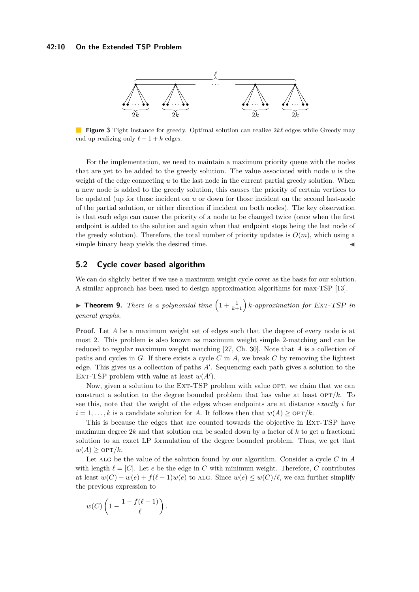#### **42:10 On the Extended TSP Problem**



**Figure 3** Tight instance for greedy. Optimal solution can realize 2*kℓ* edges while Greedy may end up realizing only  $\ell - 1 + k$  edges.

For the implementation, we need to maintain a maximum priority queue with the nodes that are yet to be added to the greedy solution. The value associated with node *u* is the weight of the edge connecting *u* to the last node in the current partial greedy solution. When a new node is added to the greedy solution, this causes the priority of certain vertices to be updated (up for those incident on *u* or down for those incident on the second last-node of the partial solution, or either direction if incident on both nodes). The key observation is that each edge can cause the priority of a node to be changed twice (once when the first endpoint is added to the solution and again when that endpoint stops being the last node of the greedy solution). Therefore, the total number of priority updates is  $O(m)$ , which using a simple binary heap yields the desired time.

## **5.2 Cycle cover based algorithm**

We can do slightly better if we use a maximum weight cycle cover as the basis for our solution. A similar approach has been used to design approximation algorithms for max-TSP [\[13\]](#page-12-4).

**• Theorem 9.** *There is a polynomial time*  $\left(1+\frac{1}{k+1}\right)$  *k*-approximation for Ext-TSP in *general graphs.*

**Proof.** Let *A* be a maximum weight set of edges such that the degree of every node is at most 2. This problem is also known as maximum weight simple 2-matching and can be reduced to regular maximum weight matching [\[27,](#page-13-15) Ch. 30]. Note that *A* is a collection of paths and cycles in *G*. If there exists a cycle *C* in *A*, we break *C* by removing the lightest edge. This gives us a collection of paths *A*′ . Sequencing each path gives a solution to the EXT-TSP problem with value at least  $w(A')$ .

Now, given a solution to the EXT-TSP problem with value OPT, we claim that we can construct a solution to the degree bounded problem that has value at least  $\text{OPT}/k$ . To see this, note that the weight of the edges whose endpoints are at distance *exactly i* for  $i = 1, \ldots, k$  is a candidate solution for *A*. It follows then that  $w(A) \ge 0$ PT/k.

This is because the edges that are counted towards the objective in Ext-TSP have maximum degree 2*k* and that solution can be scaled down by a factor of *k* to get a fractional solution to an exact LP formulation of the degree bounded problem. Thus, we get that  $w(A) \geq \text{OPT}/k$ .

Let alg be the value of the solution found by our algorithm. Consider a cycle *C* in *A* with length  $\ell = |C|$ . Let *e* be the edge in *C* with minimum weight. Therefore, *C* contributes at least  $w(C) - w(e) + f(\ell - 1)w(e)$  to ALG. Since  $w(e) \leq w(C)/\ell$ , we can further simplify the previous expression to

$$
w(C)\left(1-\frac{1-f(\ell-1)}{\ell}\right).
$$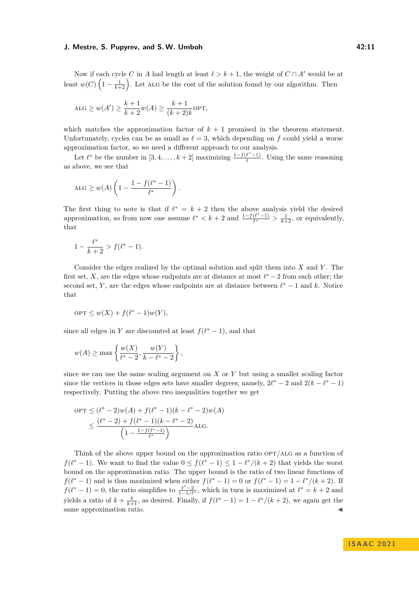Now if each cycle *C* in *A* had length at least  $\ell > k + 1$ , the weight of  $C \cap A'$  would be at least  $w(C)$   $\left(1-\frac{1}{k+2}\right)$ . Let ALG be the cost of the solution found by our algorithm. Then

$$
ALG \ge w(A') \ge \frac{k+1}{k+2}w(A) \ge \frac{k+1}{(k+2)k}
$$
OPT,

which matches the approximation factor of  $k+1$  promised in the theorem statement. Unfortunately, cycles can be as small as  $\ell = 3$ , which depending on f could yield a worse approximation factor, so we need a different approach to our analysis.

Let  $\ell^*$  be the number in  $[3, 4, \ldots, k+2]$  maximizing  $\frac{1-f(\ell^*-1)}{\ell}$  $\frac{\ell}{\ell}$ . Using the same reasoning as above, we see that

$$
ALG \geq w(A) \left( 1 - \frac{1 - f(\ell^* - 1)}{\ell^*} \right).
$$

The first thing to note is that if  $\ell^* = k + 2$  then the above analysis yield the desired approximation, so from now one assume  $\ell^* < k + 2$  and  $\frac{1 - f(\ell^* - 1)}{\ell^*}$  $\frac{(\ell^*-1)}{\ell^*} > \frac{1}{k+2}$ , or equivalently, that

$$
1 - \frac{\ell^*}{k+2} > f(\ell^* - 1).
$$

Consider the edges realized by the optimal solution and split them into *X* and *Y* . The first set, *X*, are the edges whose endpoints are at distance at most  $\ell^* - 2$  from each other; the second set, *Y*, are the edges whose endpoints are at distance between  $\ell^* - 1$  and *k*. Notice that

$$
OPT \le w(X) + f(\ell^* - 1)w(Y),
$$

since all edges in *Y* are discounted at least  $f(\ell^* - 1)$ , and that

$$
w(A) \ge \max \left\{ \frac{w(X)}{\ell^* - 2}, \frac{w(Y)}{k - \ell^* - 2} \right\},\,
$$

since we can use the same scaling argument on *X* or *Y* but using a smaller scaling factor since the vertices in those edges sets have smaller degrees; namely,  $2\ell^* - 2$  and  $2(k - \ell^* - 1)$ respectively. Putting the above two inequalities together we get

$$
OPT \le (\ell^* - 2)w(A) + f(\ell^* - 1)(k - \ell^* - 2)w(A)
$$
  
 
$$
\le \frac{(\ell^* - 2) + f(\ell^* - 1)(k - \ell^* - 2)}{\left(1 - \frac{1 - f(\ell^* - 1)}{\ell^*}\right)} \text{ALG.}
$$

Think of the above upper bound on the approximation ratio opt*/*alg as a function of *f*( $\ell^*$  − 1). We want to find the value  $0 \le f(\ell^* - 1) \le 1 - \ell^*/(k+2)$  that yields the worst bound on the approximation ratio. The upper bound is the ratio of two linear functions of *f*( $\ell^*$  − 1) and is thus maximized when either  $f(\ell^* - 1) = 0$  or  $f(\ell^* - 1) = 1 - \ell^*/(k+2)$ . If  $f(\ell^*-1) = 0$ , the ratio simplifies to  $\frac{\ell^*-2}{1-1/\ell^*}$ , which in turn is maximized at  $\ell^* = k+2$  and yields a ratio of  $k + \frac{k}{k+1}$ , as desired. Finally, if  $f(\ell^* - 1) = 1 - \ell^*/(k+2)$ , we again get the same approximation ratio.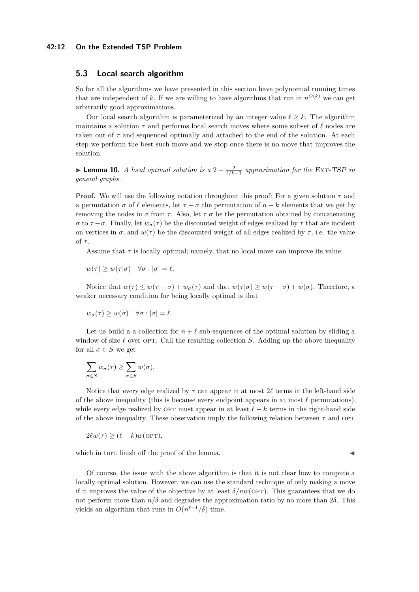#### **42:12 On the Extended TSP Problem**

## **5.3 Local search algorithm**

So far all the algorithms we have presented in this section have polynomial running times that are independent of k. If we are willing to have algorithms that run in  $n^{O(k)}$  we can get arbitrarily good approximations.

Our local search algorithm is parameterized by an integer value  $\ell \geq k$ . The algorithm maintains a solution *τ* and performs local search moves where some subset of *ℓ* nodes are taken out of  $\tau$  and sequenced optimally and attached to the end of the solution. At each step we perform the best such move and we stop once there is no move that improves the solution.

▶ **Lemma 10.** *A local optimal solution is a*  $2 + \frac{2}{\ell/k-1}$  *approximation for the ExT-TSP in general graphs.*

**Proof.** We will use the following notation throughout this proof: For a given solution *τ* and a permutation  $\sigma$  of  $\ell$  elements, let  $\tau - \sigma$  the permutation of  $n - k$  elements that we get by removing the nodes in *σ* from *τ* . Also, let *τ* |*σ* be the permutation obtained by concatenating *σ* to *τ* − *σ*. Finally, let  $w_{\sigma}(\tau)$  be the discounted weight of edges realized by  $\tau$  that are incident on vertices in  $\sigma$ , and  $w(\tau)$  be the discounted weight of all edges realized by  $\tau$ , i.e. the value of *τ* .

Assume that  $\tau$  is locally optimal; namely, that no local move can improve its value:

 $w(\tau) \geq w(\tau|\sigma)$   $\forall \sigma : |\sigma| = \ell.$ 

Notice that  $w(\tau) \leq w(\tau - \sigma) + w_{\sigma}(\tau)$  and that  $w(\tau|\sigma) \geq w(\tau - \sigma) + w(\sigma)$ . Therefore, a weaker necessary condition for being locally optimal is that

$$
w_{\sigma}(\tau) \ge w(\sigma) \quad \forall \sigma : |\sigma| = \ell.
$$

Let us build a a collection for  $n + \ell$  sub-sequences of the optimal solution by sliding a window of size  $\ell$  over opt. Call the resulting collection *S*. Adding up the above inequality for all  $\sigma \in S$  we get

$$
\sum_{\sigma \in S} w_{\sigma}(\tau) \ge \sum_{\sigma \in S} w(\sigma).
$$

Notice that every edge realized by  $\tau$  can appear in at most  $2\ell$  terms in the left-hand side of the above inequality (this is because every endpoint appears in at most  $\ell$  permutations), while every edge realized by OPT must appear in at least  $\ell - k$  terms in the right-hand side of the above inequality. These observation imply the following relation between  $\tau$  and OPT

$$
2\ell w(\tau) \ge (\ell - k)w(\text{OPT}),
$$

which in turn finish off the proof of the lemma.

Of course, the issue with the above algorithm is that it is not clear how to compute a locally optimal solution. However, we can use the standard technique of only making a move if it improves the value of the objective by at least  $\delta/nw$ (OPT). This guarantees that we do not perform more than  $n/\delta$  and degrades the approximation ratio by no more than  $2\delta$ . This yields an algorithm that runs in  $O(n^{\ell+1}/\delta)$  time.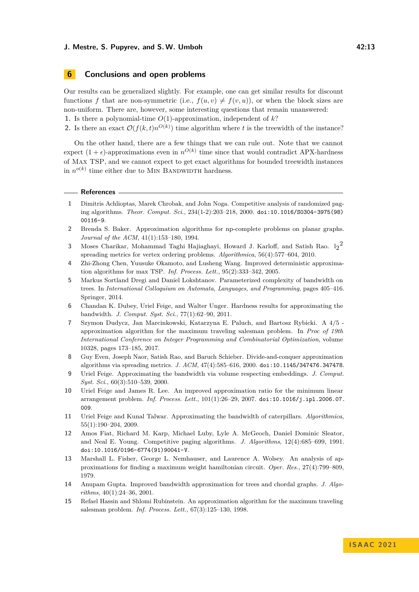## **6 Conclusions and open problems**

Our results can be generalized slightly. For example, one can get similar results for discount functions *f* that are non-symmetric (i.e.,  $f(u, v) \neq f(v, u)$ ), or when the block sizes are non-uniform. There are, however, some interesting questions that remain unanswered: **1.** Is there a polynomial-time *O*(1)-approximation, independent of *k*?

**2.** Is there an exact  $\mathcal{O}(f(k,t)n^{O(k)})$  time algorithm where *t* is the treewidth of the instance?

On the other hand, there are a few things that we can rule out. Note that we cannot expect  $(1 + \epsilon)$ -approximations even in  $n^{O(k)}$  time since that would contradict APX-hardness of Max TSP, and we cannot expect to get exact algorithms for bounded treewidth instances in  $n^{o(k)}$  time either due to MIN BANDWIDTH hardness.

#### **References**

- <span id="page-12-0"></span>**1** Dimitris Achlioptas, Marek Chrobak, and John Noga. Competitive analysis of randomized paging algorithms. *Theor. Comput. Sci.*, 234(1-2):203–218, 2000. [doi:10.1016/S0304-3975\(98\)](https://doi.org/10.1016/S0304-3975(98)00116-9) [00116-9](https://doi.org/10.1016/S0304-3975(98)00116-9).
- <span id="page-12-14"></span>**2** Brenda S. Baker. Approximation algorithms for np-complete problems on planar graphs. *Journal of the ACM*, 41(1):153–180, 1994.
- <span id="page-12-11"></span> $3$  Moses Charikar, Mohammad Taghi Hajiaghayi, Howard J. Karloff, and Satish Rao.  $\lg^2$ spreading metrics for vertex ordering problems. *Algorithmica*, 56(4):577–604, 2010.
- <span id="page-12-2"></span>**4** Zhi-Zhong Chen, Yuusuke Okamoto, and Lusheng Wang. Improved deterministic approximation algorithms for max TSP. *Inf. Process. Lett.*, 95(2):333–342, 2005.
- <span id="page-12-6"></span>**5** Markus Sortland Dregi and Daniel Lokshtanov. Parameterized complexity of bandwidth on trees. In *International Colloquium on Automata, Languages, and Programming*, pages 405–416. Springer, 2014.
- <span id="page-12-10"></span>**6** Chandan K. Dubey, Uriel Feige, and Walter Unger. Hardness results for approximating the bandwidth. *J. Comput. Syst. Sci.*, 77(1):62–90, 2011.
- <span id="page-12-3"></span>**7** Szymon Dudycz, Jan Marcinkowski, Katarzyna E. Paluch, and Bartosz Rybicki. A 4/5 approximation algorithm for the maximum traveling salesman problem. In *Proc of 19th International Conference on Integer Programming and Combinatorial Optimization*, volume 10328, pages 173–185, 2017.
- <span id="page-12-12"></span>**8** Guy Even, Joseph Naor, Satish Rao, and Baruch Schieber. Divide-and-conquer approximation algorithms via spreading metrics. *J. ACM*, 47(4):585–616, 2000. [doi:10.1145/347476.347478](https://doi.org/10.1145/347476.347478).
- <span id="page-12-7"></span>**9** Uriel Feige. Approximating the bandwidth via volume respecting embeddings. *J. Comput. Syst. Sci.*, 60(3):510–539, 2000.
- <span id="page-12-13"></span>**10** Uriel Feige and James R. Lee. An improved approximation ratio for the minimum linear arrangement problem. *Inf. Process. Lett.*, 101(1):26–29, 2007. [doi:10.1016/j.ipl.2006.07.](https://doi.org/10.1016/j.ipl.2006.07.009) [009](https://doi.org/10.1016/j.ipl.2006.07.009).
- <span id="page-12-8"></span>**11** Uriel Feige and Kunal Talwar. Approximating the bandwidth of caterpillars. *Algorithmica*, 55(1):190–204, 2009.
- <span id="page-12-1"></span>**12** Amos Fiat, Richard M. Karp, Michael Luby, Lyle A. McGeoch, Daniel Dominic Sleator, and Neal E. Young. Competitive paging algorithms. *J. Algorithms*, 12(4):685–699, 1991. [doi:10.1016/0196-6774\(91\)90041-V](https://doi.org/10.1016/0196-6774(91)90041-V).
- <span id="page-12-4"></span>**13** Marshall L. Fisher, George L. Nemhauser, and Laurence A. Wolsey. An analysis of approximations for finding a maximum weight hamiltonian circuit. *Oper. Res.*, 27(4):799–809, 1979.
- <span id="page-12-9"></span>**14** Anupam Gupta. Improved bandwidth approximation for trees and chordal graphs. *J. Algorithms*, 40(1):24–36, 2001.
- <span id="page-12-5"></span>**15** Refael Hassin and Shlomi Rubinstein. An approximation algorithm for the maximum traveling salesman problem. *Inf. Process. Lett.*, 67(3):125–130, 1998.